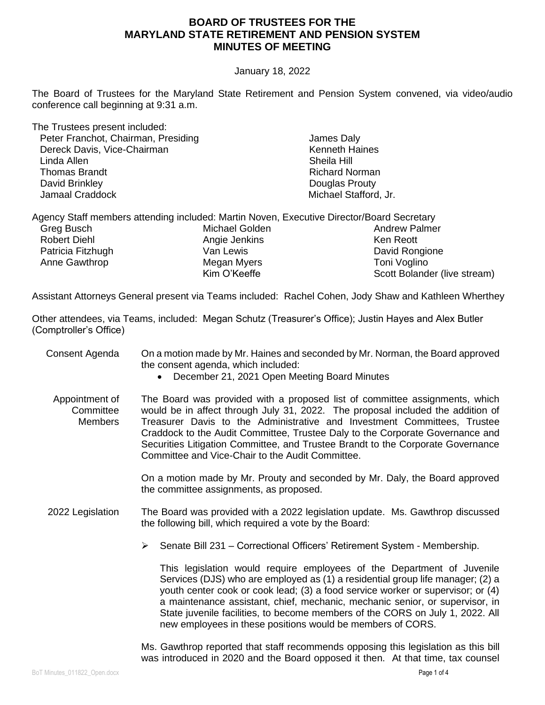#### January 18, 2022

The Board of Trustees for the Maryland State Retirement and Pension System convened, via video/audio conference call beginning at 9:31 a.m.

The Trustees present included: Peter Franchot, Chairman, Presiding Dereck Davis, Vice-Chairman Linda Allen Thomas Brandt David Brinkley Jamaal Craddock

 James Daly Kenneth Haines Sheila Hill Richard Norman Douglas Prouty Michael Stafford, Jr.

|                     | Agency Staff members attending included: Martin Noven, Executive Director/Board Secretary |                              |
|---------------------|-------------------------------------------------------------------------------------------|------------------------------|
| Greg Busch          | Michael Golden                                                                            | <b>Andrew Palmer</b>         |
| <b>Robert Diehl</b> | Angie Jenkins                                                                             | Ken Reott                    |
| Patricia Fitzhugh   | Van Lewis                                                                                 | David Rongione               |
| Anne Gawthrop       | Megan Myers                                                                               | Toni Voglino                 |
|                     | Kim O'Keeffe                                                                              | Scott Bolander (live stream) |

Assistant Attorneys General present via Teams included: Rachel Cohen, Jody Shaw and Kathleen Wherthey

Other attendees, via Teams, included: Megan Schutz (Treasurer's Office); Justin Hayes and Alex Butler (Comptroller's Office)

| Consent Agenda | On a motion made by Mr. Haines and seconded by Mr. Norman, the Board approved |
|----------------|-------------------------------------------------------------------------------|
|                | the consent agenda, which included:                                           |

- December 21, 2021 Open Meeting Board Minutes
- Appointment of **Committee Members** The Board was provided with a proposed list of committee assignments, which would be in affect through July 31, 2022. The proposal included the addition of Treasurer Davis to the Administrative and Investment Committees, Trustee Craddock to the Audit Committee, Trustee Daly to the Corporate Governance and Securities Litigation Committee, and Trustee Brandt to the Corporate Governance Committee and Vice-Chair to the Audit Committee.

On a motion made by Mr. Prouty and seconded by Mr. Daly, the Board approved the committee assignments, as proposed.

2022 Legislation The Board was provided with a 2022 legislation update. Ms. Gawthrop discussed the following bill, which required a vote by the Board:

➢ Senate Bill 231 – Correctional Officers' Retirement System - Membership.

This legislation would require employees of the Department of Juvenile Services (DJS) who are employed as (1) a residential group life manager; (2) a youth center cook or cook lead; (3) a food service worker or supervisor; or (4) a maintenance assistant, chief, mechanic, mechanic senior, or supervisor, in State juvenile facilities, to become members of the CORS on July 1, 2022. All new employees in these positions would be members of CORS.

Ms. Gawthrop reported that staff recommends opposing this legislation as this bill was introduced in 2020 and the Board opposed it then. At that time, tax counsel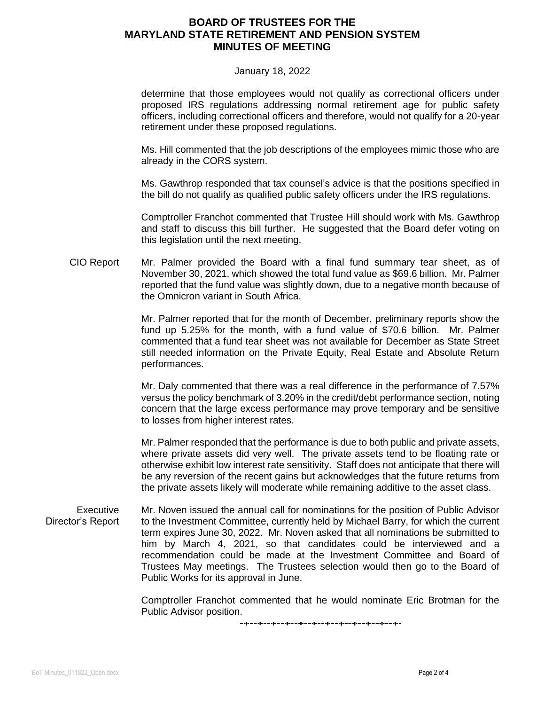#### January 18, 2022

determine that those employees would not qualify as correctional officers under proposed IRS regulations addressing normal retirement age for public safety officers, including correctional officers and therefore, would not qualify for a 20-year retirement under these proposed regulations.

Ms. Hill commented that the job descriptions of the employees mimic those who are already in the CORS system.

Ms. Gawthrop responded that tax counsel's advice is that the positions specified in the bill do not qualify as qualified public safety officers under the IRS regulations.

Comptroller Franchot commented that Trustee Hill should work with Ms. Gawthrop and staff to discuss this bill further. He suggested that the Board defer voting on this legislation until the next meeting.

CIO Report Mr. Palmer provided the Board with a final fund summary tear sheet, as of November 30, 2021, which showed the total fund value as \$69.6 billion. Mr. Palmer reported that the fund value was slightly down, due to a negative month because of the Omnicron variant in South Africa.

> Mr. Palmer reported that for the month of December, preliminary reports show the fund up 5.25% for the month, with a fund value of \$70.6 billion. Mr. Palmer commented that a fund tear sheet was not available for December as State Street still needed information on the Private Equity, Real Estate and Absolute Return performances.

> Mr. Daly commented that there was a real difference in the performance of 7.57% versus the policy benchmark of 3.20% in the credit/debt performance section, noting concern that the large excess performance may prove temporary and be sensitive to losses from higher interest rates.

> Mr. Palmer responded that the performance is due to both public and private assets, where private assets did very well. The private assets tend to be floating rate or otherwise exhibit low interest rate sensitivity. Staff does not anticipate that there will be any reversion of the recent gains but acknowledges that the future returns from the private assets likely will moderate while remaining additive to the asset class.

Executive Director's Report Mr. Noven issued the annual call for nominations for the position of Public Advisor to the Investment Committee, currently held by Michael Barry, for which the current term expires June 30, 2022. Mr. Noven asked that all nominations be submitted to him by March 4, 2021, so that candidates could be interviewed and a recommendation could be made at the Investment Committee and Board of Trustees May meetings. The Trustees selection would then go to the Board of Public Works for its approval in June.

> Comptroller Franchot commented that he would nominate Eric Brotman for the Public Advisor position.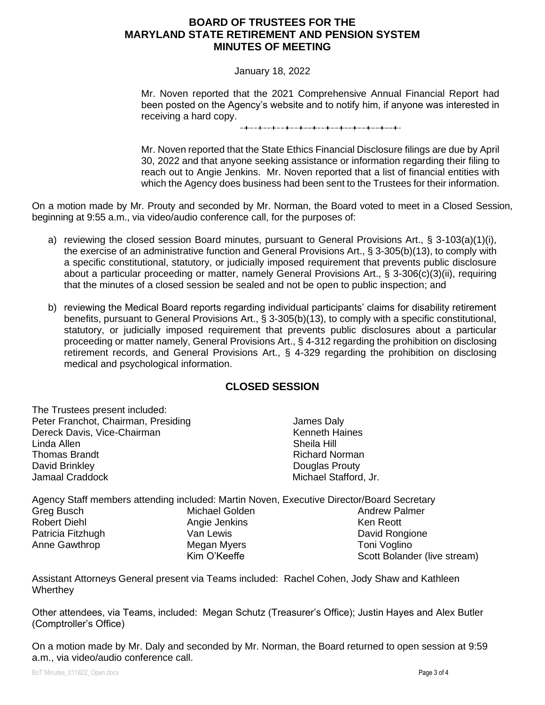### January 18, 2022

Mr. Noven reported that the 2021 Comprehensive Annual Financial Report had been posted on the Agency's website and to notify him, if anyone was interested in receiving a hard copy.

Mr. Noven reported that the State Ethics Financial Disclosure filings are due by April 30, 2022 and that anyone seeking assistance or information regarding their filing to reach out to Angie Jenkins. Mr. Noven reported that a list of financial entities with which the Agency does business had been sent to the Trustees for their information.

On a motion made by Mr. Prouty and seconded by Mr. Norman, the Board voted to meet in a Closed Session, beginning at 9:55 a.m., via video/audio conference call, for the purposes of:

- a) reviewing the closed session Board minutes, pursuant to General Provisions Art., § 3-103(a)(1)(i), the exercise of an administrative function and General Provisions Art., § 3-305(b)(13), to comply with a specific constitutional, statutory, or judicially imposed requirement that prevents public disclosure about a particular proceeding or matter, namely General Provisions Art., § 3-306(c)(3)(ii), requiring that the minutes of a closed session be sealed and not be open to public inspection; and
- b) reviewing the Medical Board reports regarding individual participants' claims for disability retirement benefits, pursuant to General Provisions Art., § 3-305(b)(13), to comply with a specific constitutional, statutory, or judicially imposed requirement that prevents public disclosures about a particular proceeding or matter namely, General Provisions Art., § 4-312 regarding the prohibition on disclosing retirement records, and General Provisions Art., § 4-329 regarding the prohibition on disclosing medical and psychological information.

# **CLOSED SESSION**

The Trustees present included: Peter Franchot, Chairman, Presiding Dereck Davis, Vice-Chairman Linda Allen Thomas Brandt David Brinkley Jamaal Craddock

 James Daly Kenneth Haines Sheila Hill Richard Norman Douglas Prouty Michael Stafford, Jr.

Agency Staff members attending included: Martin Noven, Executive Director/Board Secretary Greg Busch Robert Diehl Patricia Fitzhugh Anne Gawthrop Michael Golden Angie Jenkins Van Lewis Megan Myers Kim O'Keeffe Andrew Palmer Ken Reott David Rongione Toni Voglino Scott Bolander (live stream)

Assistant Attorneys General present via Teams included: Rachel Cohen, Jody Shaw and Kathleen **Wherthey** 

Other attendees, via Teams, included: Megan Schutz (Treasurer's Office); Justin Hayes and Alex Butler (Comptroller's Office)

On a motion made by Mr. Daly and seconded by Mr. Norman, the Board returned to open session at 9:59 a.m., via video/audio conference call.